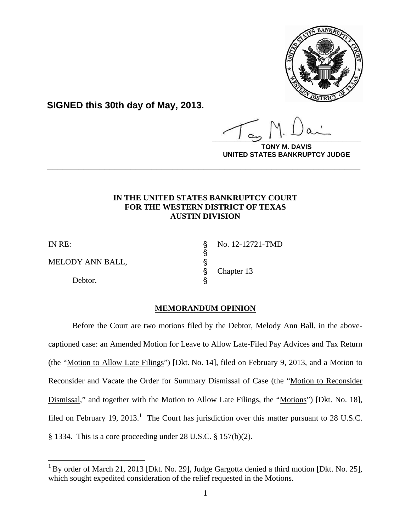

**SIGNED this 30th day of May, 2013.**

**\_\_\_\_\_\_\_\_\_\_\_\_\_\_\_\_\_\_\_\_\_\_\_\_\_\_\_\_\_\_\_\_\_\_\_\_\_\_\_\_**

**DAVIS UNITED STATES BANKRUPTCY JUDGE**

# **IN THE UNITED STATES BANKRUPTCY COURT FOR THE WESTERN DISTRICT OF TEXAS AUSTIN DIVISION**

**\_\_\_\_\_\_\_\_\_\_\_\_\_\_\_\_\_\_\_\_\_\_\_\_\_\_\_\_\_\_\_\_\_\_\_\_\_\_\_\_\_\_\_\_\_\_\_\_\_\_\_\_\_\_\_\_\_\_\_\_**

1

MELODY ANN BALL,

Debtor.

IN RE:  $\qquad \qquad$  No. 12-12721-TMD Chapter 13

# **MEMORANDUM OPINION**

S<br>S<br>S

Before the Court are two motions filed by the Debtor, Melody Ann Ball, in the abovecaptioned case: an Amended Motion for Leave to Allow Late-Filed Pay Advices and Tax Return (the "Motion to Allow Late Filings") [Dkt. No. 14], filed on February 9, 2013, and a Motion to Reconsider and Vacate the Order for Summary Dismissal of Case (the "Motion to Reconsider Dismissal," and together with the Motion to Allow Late Filings, the "Motions") [Dkt. No. 18], filed on February 19, 2013.<sup>1</sup> The Court has jurisdiction over this matter pursuant to 28 U.S.C. § 1334. This is a core proceeding under 28 U.S.C. § 157(b)(2).

 $1$  By order of March 21, 2013 [Dkt. No. 29], Judge Gargotta denied a third motion [Dkt. No. 25], which sought expedited consideration of the relief requested in the Motions.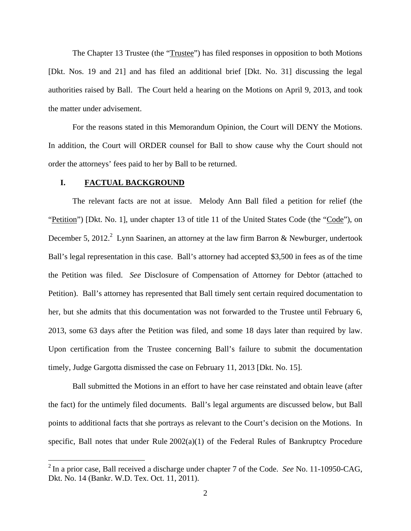The Chapter 13 Trustee (the "Trustee") has filed responses in opposition to both Motions [Dkt. Nos. 19 and 21] and has filed an additional brief [Dkt. No. 31] discussing the legal authorities raised by Ball. The Court held a hearing on the Motions on April 9, 2013, and took the matter under advisement.

For the reasons stated in this Memorandum Opinion, the Court will DENY the Motions. In addition, the Court will ORDER counsel for Ball to show cause why the Court should not order the attorneys' fees paid to her by Ball to be returned.

#### **I. FACTUAL BACKGROUND**

1

The relevant facts are not at issue. Melody Ann Ball filed a petition for relief (the "Petition") [Dkt. No. 1], under chapter 13 of title 11 of the United States Code (the "Code"), on December 5, 2012. Lynn Saarinen, an attorney at the law firm Barron & Newburger, undertook Ball's legal representation in this case. Ball's attorney had accepted \$3,500 in fees as of the time the Petition was filed. *See* Disclosure of Compensation of Attorney for Debtor (attached to Petition). Ball's attorney has represented that Ball timely sent certain required documentation to her, but she admits that this documentation was not forwarded to the Trustee until February 6, 2013, some 63 days after the Petition was filed, and some 18 days later than required by law. Upon certification from the Trustee concerning Ball's failure to submit the documentation timely, Judge Gargotta dismissed the case on February 11, 2013 [Dkt. No. 15].

Ball submitted the Motions in an effort to have her case reinstated and obtain leave (after the fact) for the untimely filed documents. Ball's legal arguments are discussed below, but Ball points to additional facts that she portrays as relevant to the Court's decision on the Motions. In specific, Ball notes that under Rule  $2002(a)(1)$  of the Federal Rules of Bankruptcy Procedure

<sup>2</sup> In a prior case, Ball received a discharge under chapter 7 of the Code. *See* No. 11-10950-CAG, Dkt. No. 14 (Bankr. W.D. Tex. Oct. 11, 2011).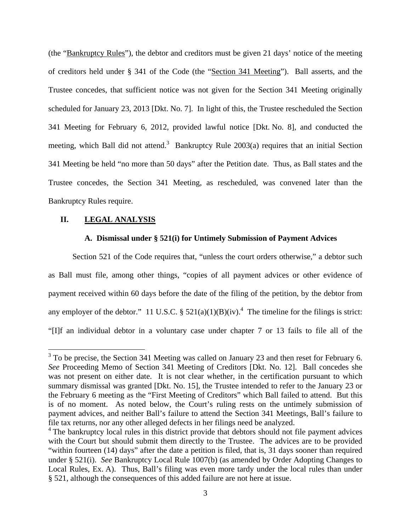(the "Bankruptcy Rules"), the debtor and creditors must be given 21 days' notice of the meeting of creditors held under § 341 of the Code (the "Section 341 Meeting"). Ball asserts, and the Trustee concedes, that sufficient notice was not given for the Section 341 Meeting originally scheduled for January 23, 2013 [Dkt. No. 7]. In light of this, the Trustee rescheduled the Section 341 Meeting for February 6, 2012, provided lawful notice [Dkt. No. 8], and conducted the meeting, which Ball did not attend.<sup>3</sup> Bankruptcy Rule 2003(a) requires that an initial Section 341 Meeting be held "no more than 50 days" after the Petition date. Thus, as Ball states and the Trustee concedes, the Section 341 Meeting, as rescheduled, was convened later than the Bankruptcy Rules require.

### **II. LEGAL ANALYSIS**

#### **A. Dismissal under § 521(i) for Untimely Submission of Payment Advices**

Section 521 of the Code requires that, "unless the court orders otherwise," a debtor such as Ball must file, among other things, "copies of all payment advices or other evidence of payment received within 60 days before the date of the filing of the petition, by the debtor from any employer of the debtor." 11 U.S.C. §  $521(a)(1)(B)(iv)$ .<sup>4</sup> The timeline for the filings is strict: "[I]f an individual debtor in a voluntary case under chapter 7 or 13 fails to file all of the

<sup>&</sup>lt;sup>3</sup> To be precise, the Section 341 Meeting was called on January 23 and then reset for February 6. *See* Proceeding Memo of Section 341 Meeting of Creditors [Dkt. No. 12]. Ball concedes she was not present on either date. It is not clear whether, in the certification pursuant to which summary dismissal was granted [Dkt. No. 15], the Trustee intended to refer to the January 23 or the February 6 meeting as the "First Meeting of Creditors" which Ball failed to attend. But this is of no moment. As noted below, the Court's ruling rests on the untimely submission of payment advices, and neither Ball's failure to attend the Section 341 Meetings, Ball's failure to file tax returns, nor any other alleged defects in her filings need be analyzed.

 $4$  The bankruptcy local rules in this district provide that debtors should not file payment advices with the Court but should submit them directly to the Trustee. The advices are to be provided "within fourteen (14) days" after the date a petition is filed, that is, 31 days sooner than required under § 521(i). *See* Bankruptcy Local Rule 1007(b) (as amended by Order Adopting Changes to Local Rules, Ex. A). Thus, Ball's filing was even more tardy under the local rules than under § 521, although the consequences of this added failure are not here at issue.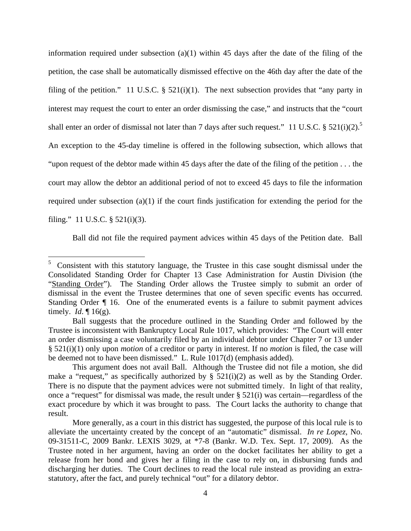information required under subsection (a)(1) within 45 days after the date of the filing of the petition, the case shall be automatically dismissed effective on the 46th day after the date of the filing of the petition." 11 U.S.C.  $\S$  521(i)(1). The next subsection provides that "any party in interest may request the court to enter an order dismissing the case," and instructs that the "court shall enter an order of dismissal not later than 7 days after such request." 11 U.S.C. §  $521(i)(2)$ .<sup>5</sup> An exception to the 45-day timeline is offered in the following subsection, which allows that "upon request of the debtor made within 45 days after the date of the filing of the petition . . . the court may allow the debtor an additional period of not to exceed 45 days to file the information required under subsection  $(a)(1)$  if the court finds justification for extending the period for the filing." 11 U.S.C. § 521(i)(3).

Ball did not file the required payment advices within 45 days of the Petition date. Ball

1

 $5$  Consistent with this statutory language, the Trustee in this case sought dismissal under the Consolidated Standing Order for Chapter 13 Case Administration for Austin Division (the "Standing Order"). The Standing Order allows the Trustee simply to submit an order of dismissal in the event the Trustee determines that one of seven specific events has occurred. Standing Order ¶ 16. One of the enumerated events is a failure to submit payment advices timely. *Id*. ¶ 16(g).

Ball suggests that the procedure outlined in the Standing Order and followed by the Trustee is inconsistent with Bankruptcy Local Rule 1017, which provides: "The Court will enter an order dismissing a case voluntarily filed by an individual debtor under Chapter 7 or 13 under § 521(i)(1) only upon *motion* of a creditor or party in interest. If no *motion* is filed, the case will be deemed not to have been dismissed." L. Rule 1017(d) (emphasis added).

This argument does not avail Ball. Although the Trustee did not file a motion, she did make a "request," as specifically authorized by  $\S$  521(i)(2) as well as by the Standing Order. There is no dispute that the payment advices were not submitted timely. In light of that reality, once a "request" for dismissal was made, the result under § 521(i) was certain—regardless of the exact procedure by which it was brought to pass. The Court lacks the authority to change that result.

More generally, as a court in this district has suggested, the purpose of this local rule is to alleviate the uncertainty created by the concept of an "automatic" dismissal. *In re Lopez*, No. 09-31511-C, 2009 Bankr. LEXIS 3029, at \*7-8 (Bankr. W.D. Tex. Sept. 17, 2009). As the Trustee noted in her argument, having an order on the docket facilitates her ability to get a release from her bond and gives her a filing in the case to rely on, in disbursing funds and discharging her duties. The Court declines to read the local rule instead as providing an extrastatutory, after the fact, and purely technical "out" for a dilatory debtor.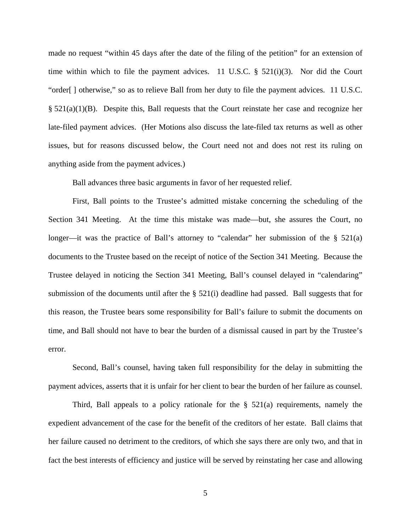made no request "within 45 days after the date of the filing of the petition" for an extension of time within which to file the payment advices. 11 U.S.C.  $\S$  521(i)(3). Nor did the Court "order[ ] otherwise," so as to relieve Ball from her duty to file the payment advices. 11 U.S.C.  $\S 521(a)(1)(B)$ . Despite this, Ball requests that the Court reinstate her case and recognize her late-filed payment advices. (Her Motions also discuss the late-filed tax returns as well as other issues, but for reasons discussed below, the Court need not and does not rest its ruling on anything aside from the payment advices.)

Ball advances three basic arguments in favor of her requested relief.

First, Ball points to the Trustee's admitted mistake concerning the scheduling of the Section 341 Meeting. At the time this mistake was made—but, she assures the Court, no longer—it was the practice of Ball's attorney to "calendar" her submission of the  $\S$  521(a) documents to the Trustee based on the receipt of notice of the Section 341 Meeting. Because the Trustee delayed in noticing the Section 341 Meeting, Ball's counsel delayed in "calendaring" submission of the documents until after the  $\S$  521(i) deadline had passed. Ball suggests that for this reason, the Trustee bears some responsibility for Ball's failure to submit the documents on time, and Ball should not have to bear the burden of a dismissal caused in part by the Trustee's error.

Second, Ball's counsel, having taken full responsibility for the delay in submitting the payment advices, asserts that it is unfair for her client to bear the burden of her failure as counsel.

Third, Ball appeals to a policy rationale for the  $\S$  521(a) requirements, namely the expedient advancement of the case for the benefit of the creditors of her estate. Ball claims that her failure caused no detriment to the creditors, of which she says there are only two, and that in fact the best interests of efficiency and justice will be served by reinstating her case and allowing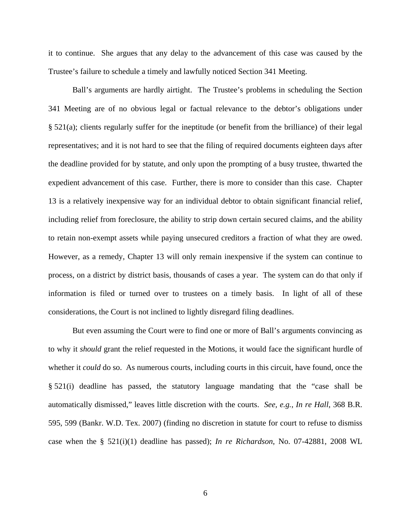it to continue. She argues that any delay to the advancement of this case was caused by the Trustee's failure to schedule a timely and lawfully noticed Section 341 Meeting.

Ball's arguments are hardly airtight. The Trustee's problems in scheduling the Section 341 Meeting are of no obvious legal or factual relevance to the debtor's obligations under § 521(a); clients regularly suffer for the ineptitude (or benefit from the brilliance) of their legal representatives; and it is not hard to see that the filing of required documents eighteen days after the deadline provided for by statute, and only upon the prompting of a busy trustee, thwarted the expedient advancement of this case. Further, there is more to consider than this case. Chapter 13 is a relatively inexpensive way for an individual debtor to obtain significant financial relief, including relief from foreclosure, the ability to strip down certain secured claims, and the ability to retain non-exempt assets while paying unsecured creditors a fraction of what they are owed. However, as a remedy, Chapter 13 will only remain inexpensive if the system can continue to process, on a district by district basis, thousands of cases a year. The system can do that only if information is filed or turned over to trustees on a timely basis. In light of all of these considerations, the Court is not inclined to lightly disregard filing deadlines.

But even assuming the Court were to find one or more of Ball's arguments convincing as to why it *should* grant the relief requested in the Motions, it would face the significant hurdle of whether it *could* do so. As numerous courts, including courts in this circuit, have found, once the § 521(i) deadline has passed, the statutory language mandating that the "case shall be automatically dismissed," leaves little discretion with the courts. *See, e.g.*, *In re Hall*, 368 B.R. 595, 599 (Bankr. W.D. Tex. 2007) (finding no discretion in statute for court to refuse to dismiss case when the § 521(i)(1) deadline has passed); *In re Richardson*, No. 07-42881, 2008 WL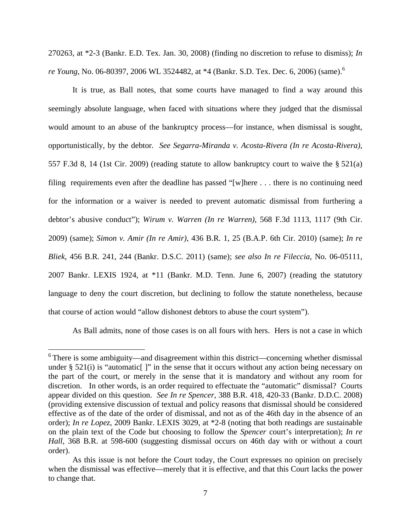270263, at \*2-3 (Bankr. E.D. Tex. Jan. 30, 2008) (finding no discretion to refuse to dismiss); *In re Young*, No. 06-80397, 2006 WL 3524482, at \*4 (Bankr. S.D. Tex. Dec. 6, 2006) (same).<sup>6</sup>

It is true, as Ball notes, that some courts have managed to find a way around this seemingly absolute language, when faced with situations where they judged that the dismissal would amount to an abuse of the bankruptcy process—for instance, when dismissal is sought, opportunistically, by the debtor. *See Segarra-Miranda v. Acosta-Rivera (In re Acosta-Rivera)*, 557 F.3d 8, 14 (1st Cir. 2009) (reading statute to allow bankruptcy court to waive the § 521(a) filing requirements even after the deadline has passed "[w]here . . . there is no continuing need for the information or a waiver is needed to prevent automatic dismissal from furthering a debtor's abusive conduct"); *Wirum v. Warren (In re Warren)*, 568 F.3d 1113, 1117 (9th Cir. 2009) (same); *Simon v. Amir (In re Amir)*, 436 B.R. 1, 25 (B.A.P. 6th Cir. 2010) (same); *In re Bliek*, 456 B.R. 241, 244 (Bankr. D.S.C. 2011) (same); *see also In re Fileccia*, No. 06-05111, 2007 Bankr. LEXIS 1924, at \*11 (Bankr. M.D. Tenn. June 6, 2007) (reading the statutory language to deny the court discretion, but declining to follow the statute nonetheless, because that course of action would "allow dishonest debtors to abuse the court system").

As Ball admits, none of those cases is on all fours with hers. Hers is not a case in which

 $\overline{a}$ 

 $6$  There is some ambiguity—and disagreement within this district—concerning whether dismissal under  $\S$  521(i) is "automatic ]" in the sense that it occurs without any action being necessary on the part of the court, or merely in the sense that it is mandatory and without any room for discretion. In other words, is an order required to effectuate the "automatic" dismissal? Courts appear divided on this question. *See In re Spencer*, 388 B.R. 418, 420-33 (Bankr. D.D.C. 2008) (providing extensive discussion of textual and policy reasons that dismissal should be considered effective as of the date of the order of dismissal, and not as of the 46th day in the absence of an order); *In re Lopez*, 2009 Bankr. LEXIS 3029, at \*2-8 (noting that both readings are sustainable on the plain text of the Code but choosing to follow the *Spencer* court's interpretation); *In re Hall*, 368 B.R. at 598-600 (suggesting dismissal occurs on 46th day with or without a court order).

As this issue is not before the Court today, the Court expresses no opinion on precisely when the dismissal was effective—merely that it is effective, and that this Court lacks the power to change that.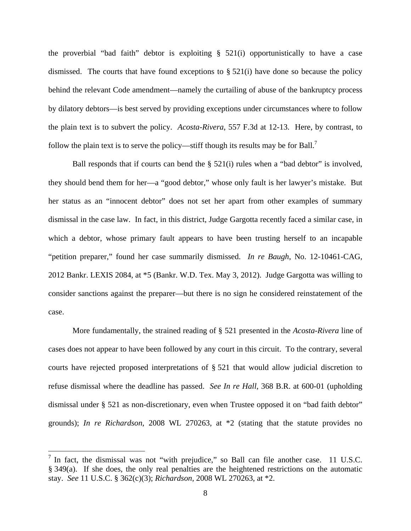the proverbial "bad faith" debtor is exploiting  $\S$  521(i) opportunistically to have a case dismissed. The courts that have found exceptions to  $\S$  521(i) have done so because the policy behind the relevant Code amendment—namely the curtailing of abuse of the bankruptcy process by dilatory debtors—is best served by providing exceptions under circumstances where to follow the plain text is to subvert the policy. *Acosta-Rivera*, 557 F.3d at 12-13. Here, by contrast, to follow the plain text is to serve the policy—stiff though its results may be for Ball.<sup>7</sup>

Ball responds that if courts can bend the § 521(i) rules when a "bad debtor" is involved, they should bend them for her—a "good debtor," whose only fault is her lawyer's mistake. But her status as an "innocent debtor" does not set her apart from other examples of summary dismissal in the case law. In fact, in this district, Judge Gargotta recently faced a similar case, in which a debtor, whose primary fault appears to have been trusting herself to an incapable "petition preparer," found her case summarily dismissed. *In re Baugh*, No. 12-10461-CAG, 2012 Bankr. LEXIS 2084, at \*5 (Bankr. W.D. Tex. May 3, 2012). Judge Gargotta was willing to consider sanctions against the preparer—but there is no sign he considered reinstatement of the case.

More fundamentally, the strained reading of § 521 presented in the *Acosta-Rivera* line of cases does not appear to have been followed by any court in this circuit. To the contrary, several courts have rejected proposed interpretations of § 521 that would allow judicial discretion to refuse dismissal where the deadline has passed. *See In re Hall*, 368 B.R. at 600-01 (upholding dismissal under § 521 as non-discretionary, even when Trustee opposed it on "bad faith debtor" grounds); *In re Richardson*, 2008 WL 270263, at \*2 (stating that the statute provides no

 $\overline{a}$ 

 $<sup>7</sup>$  In fact, the dismissal was not "with prejudice," so Ball can file another case. 11 U.S.C.</sup> § 349(a). If she does, the only real penalties are the heightened restrictions on the automatic stay. *See* 11 U.S.C. § 362(c)(3); *Richardson*, 2008 WL 270263, at \*2.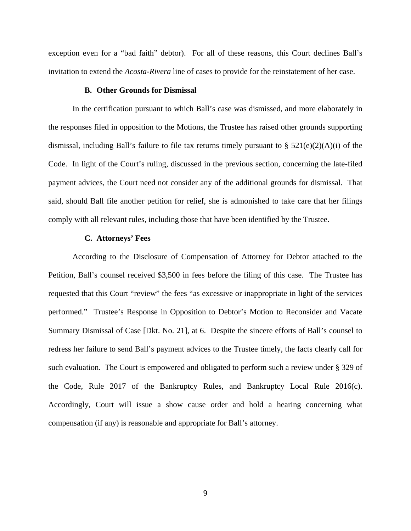exception even for a "bad faith" debtor). For all of these reasons, this Court declines Ball's invitation to extend the *Acosta-Rivera* line of cases to provide for the reinstatement of her case.

#### **B. Other Grounds for Dismissal**

 In the certification pursuant to which Ball's case was dismissed, and more elaborately in the responses filed in opposition to the Motions, the Trustee has raised other grounds supporting dismissal, including Ball's failure to file tax returns timely pursuant to  $\S$  521(e)(2)(A)(i) of the Code. In light of the Court's ruling, discussed in the previous section, concerning the late-filed payment advices, the Court need not consider any of the additional grounds for dismissal. That said, should Ball file another petition for relief, she is admonished to take care that her filings comply with all relevant rules, including those that have been identified by the Trustee.

#### **C. Attorneys' Fees**

According to the Disclosure of Compensation of Attorney for Debtor attached to the Petition, Ball's counsel received \$3,500 in fees before the filing of this case. The Trustee has requested that this Court "review" the fees "as excessive or inappropriate in light of the services performed." Trustee's Response in Opposition to Debtor's Motion to Reconsider and Vacate Summary Dismissal of Case [Dkt. No. 21], at 6. Despite the sincere efforts of Ball's counsel to redress her failure to send Ball's payment advices to the Trustee timely, the facts clearly call for such evaluation. The Court is empowered and obligated to perform such a review under § 329 of the Code, Rule 2017 of the Bankruptcy Rules, and Bankruptcy Local Rule 2016(c). Accordingly, Court will issue a show cause order and hold a hearing concerning what compensation (if any) is reasonable and appropriate for Ball's attorney.